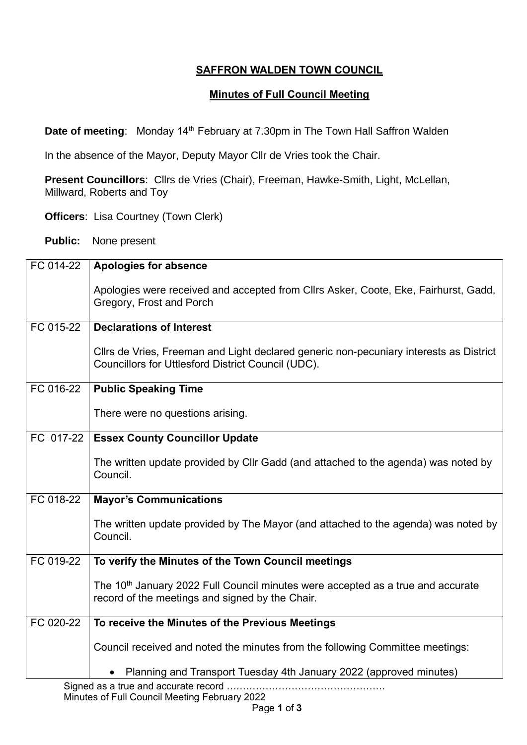## **SAFFRON WALDEN TOWN COUNCIL**

## **Minutes of Full Council Meeting**

**Date of meeting:** Monday 14<sup>th</sup> February at 7.30pm in The Town Hall Saffron Walden

In the absence of the Mayor, Deputy Mayor Cllr de Vries took the Chair.

**Present Councillors**: Cllrs de Vries (Chair), Freeman, Hawke-Smith, Light, McLellan, Millward, Roberts and Toy

**Officers**: Lisa Courtney (Town Clerk)

**Public:** None present

| FC 014-22 | <b>Apologies for absence</b>                                                                                                                   |
|-----------|------------------------------------------------------------------------------------------------------------------------------------------------|
|           | Apologies were received and accepted from Cllrs Asker, Coote, Eke, Fairhurst, Gadd,<br>Gregory, Frost and Porch                                |
| FC 015-22 | <b>Declarations of Interest</b>                                                                                                                |
|           | Cllrs de Vries, Freeman and Light declared generic non-pecuniary interests as District<br>Councillors for Uttlesford District Council (UDC).   |
| FC 016-22 | <b>Public Speaking Time</b>                                                                                                                    |
|           | There were no questions arising.                                                                                                               |
| FC 017-22 | <b>Essex County Councillor Update</b>                                                                                                          |
|           | The written update provided by Cllr Gadd (and attached to the agenda) was noted by<br>Council.                                                 |
| FC 018-22 | <b>Mayor's Communications</b>                                                                                                                  |
|           | The written update provided by The Mayor (and attached to the agenda) was noted by<br>Council.                                                 |
| FC 019-22 | To verify the Minutes of the Town Council meetings                                                                                             |
|           | The 10 <sup>th</sup> January 2022 Full Council minutes were accepted as a true and accurate<br>record of the meetings and signed by the Chair. |
| FC 020-22 | To receive the Minutes of the Previous Meetings                                                                                                |
|           | Council received and noted the minutes from the following Committee meetings:                                                                  |
|           | Planning and Transport Tuesday 4th January 2022 (approved minutes)                                                                             |
|           | Signed as a true and accurate record                                                                                                           |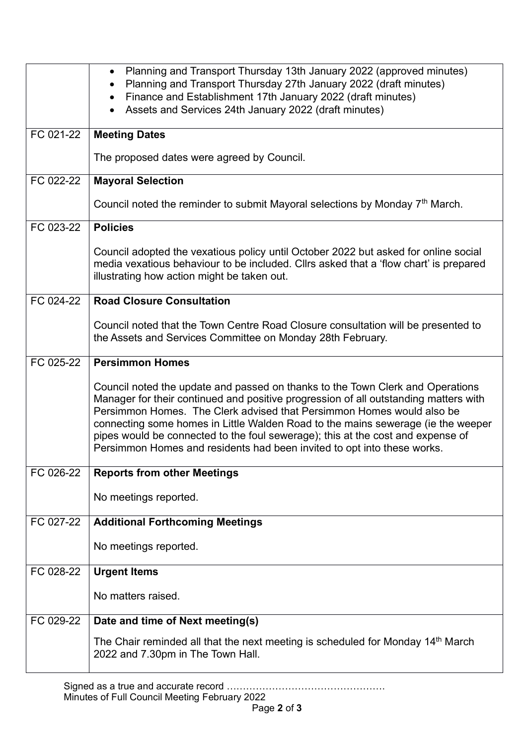|           | Planning and Transport Thursday 13th January 2022 (approved minutes)<br>$\bullet$<br>Planning and Transport Thursday 27th January 2022 (draft minutes)                                                                                                                                                                                                                                                                                                                                            |
|-----------|---------------------------------------------------------------------------------------------------------------------------------------------------------------------------------------------------------------------------------------------------------------------------------------------------------------------------------------------------------------------------------------------------------------------------------------------------------------------------------------------------|
|           | Finance and Establishment 17th January 2022 (draft minutes)                                                                                                                                                                                                                                                                                                                                                                                                                                       |
|           | Assets and Services 24th January 2022 (draft minutes)<br>$\bullet$                                                                                                                                                                                                                                                                                                                                                                                                                                |
| FC 021-22 | <b>Meeting Dates</b>                                                                                                                                                                                                                                                                                                                                                                                                                                                                              |
|           | The proposed dates were agreed by Council.                                                                                                                                                                                                                                                                                                                                                                                                                                                        |
| FC 022-22 | <b>Mayoral Selection</b>                                                                                                                                                                                                                                                                                                                                                                                                                                                                          |
|           | Council noted the reminder to submit Mayoral selections by Monday $7th$ March.                                                                                                                                                                                                                                                                                                                                                                                                                    |
| FC 023-22 | <b>Policies</b>                                                                                                                                                                                                                                                                                                                                                                                                                                                                                   |
|           | Council adopted the vexatious policy until October 2022 but asked for online social<br>media vexatious behaviour to be included. Cllrs asked that a 'flow chart' is prepared<br>illustrating how action might be taken out.                                                                                                                                                                                                                                                                       |
| FC 024-22 | <b>Road Closure Consultation</b>                                                                                                                                                                                                                                                                                                                                                                                                                                                                  |
|           | Council noted that the Town Centre Road Closure consultation will be presented to<br>the Assets and Services Committee on Monday 28th February.                                                                                                                                                                                                                                                                                                                                                   |
| FC 025-22 | <b>Persimmon Homes</b>                                                                                                                                                                                                                                                                                                                                                                                                                                                                            |
|           | Council noted the update and passed on thanks to the Town Clerk and Operations<br>Manager for their continued and positive progression of all outstanding matters with<br>Persimmon Homes. The Clerk advised that Persimmon Homes would also be<br>connecting some homes in Little Walden Road to the mains sewerage (ie the weeper<br>pipes would be connected to the foul sewerage); this at the cost and expense of<br>Persimmon Homes and residents had been invited to opt into these works. |
| FC 026-22 | <b>Reports from other Meetings</b>                                                                                                                                                                                                                                                                                                                                                                                                                                                                |
|           | No meetings reported.                                                                                                                                                                                                                                                                                                                                                                                                                                                                             |
| FC 027-22 | <b>Additional Forthcoming Meetings</b>                                                                                                                                                                                                                                                                                                                                                                                                                                                            |
|           | No meetings reported.                                                                                                                                                                                                                                                                                                                                                                                                                                                                             |
| FC 028-22 | <b>Urgent Items</b>                                                                                                                                                                                                                                                                                                                                                                                                                                                                               |
|           | No matters raised.                                                                                                                                                                                                                                                                                                                                                                                                                                                                                |
| FC 029-22 | Date and time of Next meeting(s)                                                                                                                                                                                                                                                                                                                                                                                                                                                                  |
|           | The Chair reminded all that the next meeting is scheduled for Monday $14th$ March<br>2022 and 7.30pm in The Town Hall.                                                                                                                                                                                                                                                                                                                                                                            |

Signed as a true and accurate record …………………………………………. Minutes of Full Council Meeting February 2022